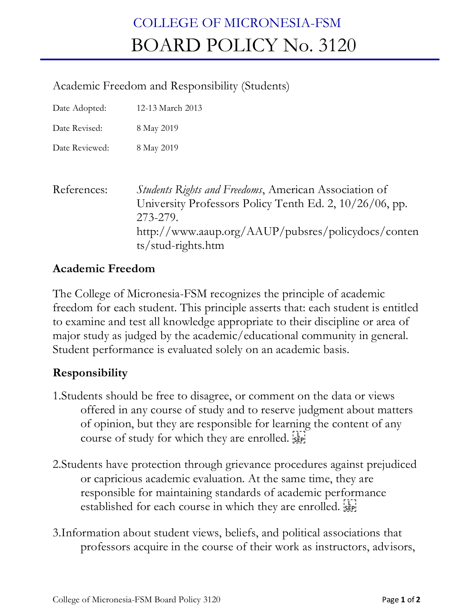## COLLEGE OF MICRONESIA-FSM BOARD POLICY No. 3120

## Academic Freedom and Responsibility (Students)

Date Adopted: 12-13 March 2013

Date Revised: 8 May 2019

Date Reviewed: 8 May 2019

| References: | <i>Students Rights and Freedoms</i> , American Association of |
|-------------|---------------------------------------------------------------|
|             | University Professors Policy Tenth Ed. 2, 10/26/06, pp.       |
|             | 273-279.                                                      |
|             | http://www.aaup.org/AAUP/pubsres/policydocs/conten            |
|             | $ts/stud\text{-}rights.htm$                                   |

## **Academic Freedom**

The College of Micronesia-FSM recognizes the principle of academic freedom for each student. This principle asserts that: each student is entitled to examine and test all knowledge appropriate to their discipline or area of major study as judged by the academic/educational community in general. Student performance is evaluated solely on an academic basis.

## **Responsibility**

- 1.Students should be free to disagree, or comment on the data or views offered in any course of study and to reserve judgment about matters of opinion, but they are responsible for learning the content of any course of study for which they are enrolled.
- 2.Students have protection through grievance procedures against prejudiced or capricious academic evaluation. At the same time, they are responsible for maintaining standards of academic performance established for each course in which they are enrolled.
- 3.Information about student views, beliefs, and political associations that professors acquire in the course of their work as instructors, advisors,